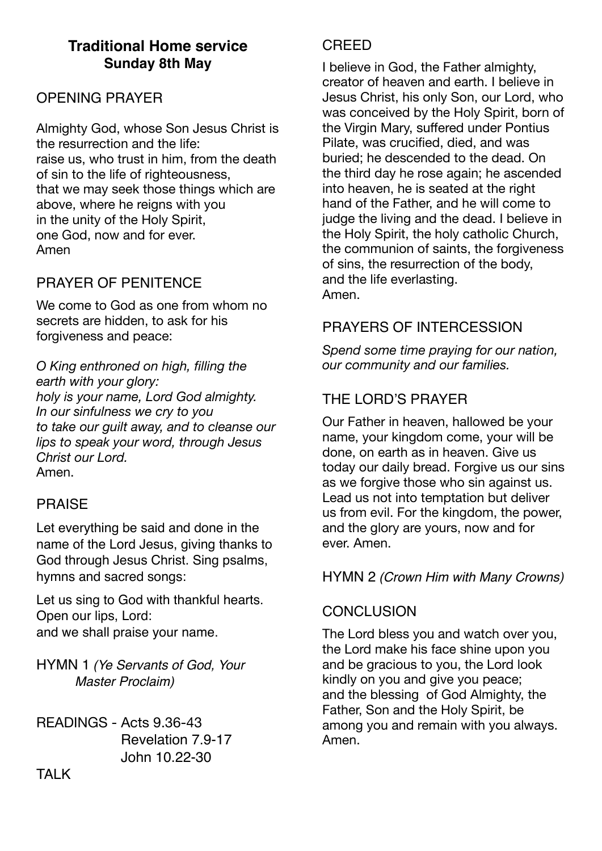# **Traditional Home service Sunday 8th May**

## OPENING PRAYER

Almighty God, whose Son Jesus Christ is the resurrection and the life: raise us, who trust in him, from the death of sin to the life of righteousness, that we may seek those things which are above, where he reigns with you in the unity of the Holy Spirit, one God, now and for ever. Amen

# PRAYER OF PENITENCE

We come to God as one from whom no secrets are hidden, to ask for his forgiveness and peace:

*O King enthroned on high, filling the earth with your glory: holy is your name, Lord God almighty. In our sinfulness we cry to you to take our guilt away, and to cleanse our lips to speak your word, through Jesus Christ our Lord.*  Amen.

### PRAISE

Let everything be said and done in the name of the Lord Jesus, giving thanks to God through Jesus Christ. Sing psalms, hymns and sacred songs:

Let us sing to God with thankful hearts. Open our lips, Lord: and we shall praise your name.

HYMN 1 *(Ye Servants of God, Your Master Proclaim)*

READINGS - Acts 9.36-43 Revelation 7.9-17 John 10.22-30

### **CREED**

I believe in God, the Father almighty, creator of heaven and earth. I believe in Jesus Christ, his only Son, our Lord, who was conceived by the Holy Spirit, born of the Virgin Mary, suffered under Pontius Pilate, was crucified, died, and was buried; he descended to the dead. On the third day he rose again; he ascended into heaven, he is seated at the right hand of the Father, and he will come to judge the living and the dead. I believe in the Holy Spirit, the holy catholic Church, the communion of saints, the forgiveness of sins, the resurrection of the body, and the life everlasting. Amen.

### PRAYERS OF INTERCESSION

*Spend some time praying for our nation, our community and our families.* 

## THE LORD'S PRAYER

Our Father in heaven, hallowed be your name, your kingdom come, your will be done, on earth as in heaven. Give us today our daily bread. Forgive us our sins as we forgive those who sin against us. Lead us not into temptation but deliver us from evil. For the kingdom, the power, and the glory are yours, now and for ever. Amen.

### HYMN 2 *(Crown Him with Many Crowns)*

### **CONCLUSION**

The Lord bless you and watch over you, the Lord make his face shine upon you and be gracious to you, the Lord look kindly on you and give you peace; and the blessing of God Almighty, the Father, Son and the Holy Spirit, be among you and remain with you always. Amen.

TALK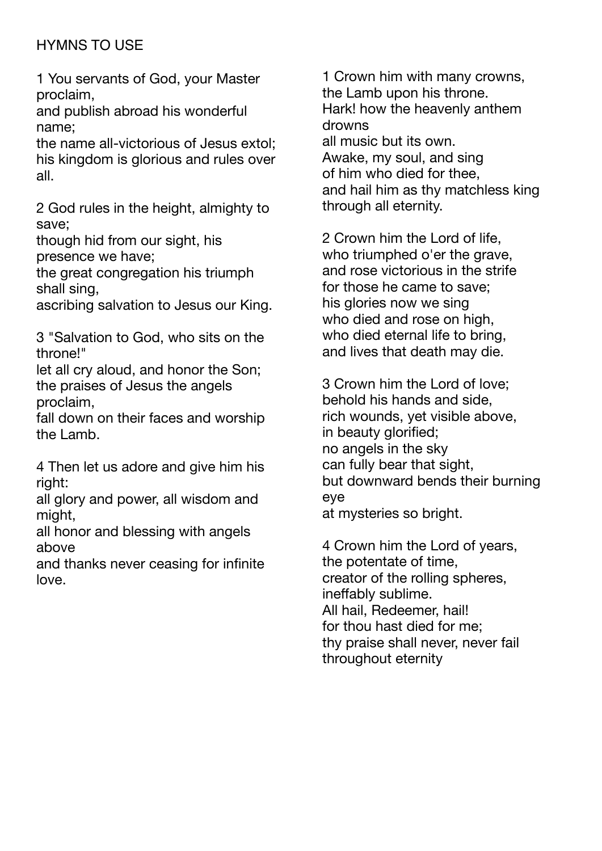# HYMNS TO USE

1 You servants of God, your Master proclaim,

and publish abroad his wonderful name;

the name all-victorious of Jesus extol; his kingdom is glorious and rules over all.

2 God rules in the height, almighty to save;

though hid from our sight, his presence we have;

the great congregation his triumph shall sing,

ascribing salvation to Jesus our King.

3 "Salvation to God, who sits on the throne!"

let all cry aloud, and honor the Son; the praises of Jesus the angels proclaim,

fall down on their faces and worship the Lamb.

4 Then let us adore and give him his right:

all glory and power, all wisdom and might,

all honor and blessing with angels above

and thanks never ceasing for infinite love.

1 Crown him with many crowns, the Lamb upon his throne. Hark! how the heavenly anthem drowns all music but its own. Awake, my soul, and sing of him who died for thee, and hail him as thy matchless king through all eternity.

2 Crown him the Lord of life, who triumphed o'er the grave, and rose victorious in the strife for those he came to save; his glories now we sing who died and rose on high. who died eternal life to bring, and lives that death may die.

3 Crown him the Lord of love; behold his hands and side, rich wounds, yet visible above, in beauty glorified; no angels in the sky can fully bear that sight, but downward bends their burning eye at mysteries so bright.

4 Crown him the Lord of years, the potentate of time, creator of the rolling spheres, ineffably sublime. All hail, Redeemer, hail! for thou hast died for me; thy praise shall never, never fail throughout eternity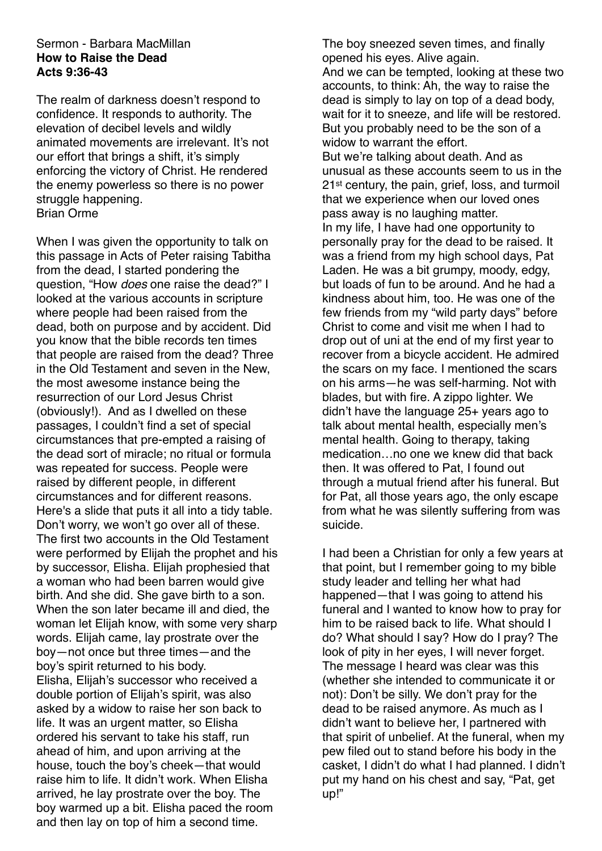#### Sermon - Barbara MacMillan **How to Raise the Dead Acts 9:36-43**

The realm of darkness doesn't respond to confidence. It responds to authority. The elevation of decibel levels and wildly animated movements are irrelevant. It's not our effort that brings a shift, it's simply enforcing the victory of Christ. He rendered the enemy powerless so there is no power struggle happening. Brian Orme

When I was given the opportunity to talk on this passage in Acts of Peter raising Tabitha from the dead, I started pondering the question, "How *does* one raise the dead?" I looked at the various accounts in scripture where people had been raised from the dead, both on purpose and by accident. Did you know that the bible records ten times that people are raised from the dead? Three in the Old Testament and seven in the New, the most awesome instance being the resurrection of our Lord Jesus Christ (obviously!). And as I dwelled on these passages, I couldn't find a set of special circumstances that pre-empted a raising of the dead sort of miracle; no ritual or formula was repeated for success. People were raised by different people, in different circumstances and for different reasons. Here's a slide that puts it all into a tidy table. Don't worry, we won't go over all of these. The first two accounts in the Old Testament were performed by Elijah the prophet and his by successor, Elisha. Elijah prophesied that a woman who had been barren would give birth. And she did. She gave birth to a son. When the son later became ill and died, the woman let Elijah know, with some very sharp words. Elijah came, lay prostrate over the boy—not once but three times—and the boy's spirit returned to his body. Elisha, Elijah's successor who received a double portion of Elijah's spirit, was also asked by a widow to raise her son back to life. It was an urgent matter, so Elisha ordered his servant to take his staff, run ahead of him, and upon arriving at the house, touch the boy's cheek—that would raise him to life. It didn't work. When Elisha arrived, he lay prostrate over the boy. The boy warmed up a bit. Elisha paced the room and then lay on top of him a second time.

The boy sneezed seven times, and finally opened his eyes. Alive again.

And we can be tempted, looking at these two accounts, to think: Ah, the way to raise the dead is simply to lay on top of a dead body, wait for it to sneeze, and life will be restored. But you probably need to be the son of a widow to warrant the effort.

But we're talking about death. And as unusual as these accounts seem to us in the 21st century, the pain, grief, loss, and turmoil that we experience when our loved ones pass away is no laughing matter.

In my life, I have had one opportunity to personally pray for the dead to be raised. It was a friend from my high school days, Pat Laden. He was a bit grumpy, moody, edgy, but loads of fun to be around. And he had a kindness about him, too. He was one of the few friends from my "wild party days" before Christ to come and visit me when I had to drop out of uni at the end of my first year to recover from a bicycle accident. He admired the scars on my face. I mentioned the scars on his arms—he was self-harming. Not with blades, but with fire. A zippo lighter. We didn't have the language 25+ years ago to talk about mental health, especially men's mental health. Going to therapy, taking medication…no one we knew did that back then. It was offered to Pat, I found out through a mutual friend after his funeral. But for Pat, all those years ago, the only escape from what he was silently suffering from was suicide.

I had been a Christian for only a few years at that point, but I remember going to my bible study leader and telling her what had happened—that I was going to attend his funeral and I wanted to know how to pray for him to be raised back to life. What should I do? What should I say? How do I pray? The look of pity in her eyes, I will never forget. The message I heard was clear was this (whether she intended to communicate it or not): Don't be silly. We don't pray for the dead to be raised anymore. As much as I didn't want to believe her, I partnered with that spirit of unbelief. At the funeral, when my pew filed out to stand before his body in the casket, I didn't do what I had planned. I didn't put my hand on his chest and say, "Pat, get up!"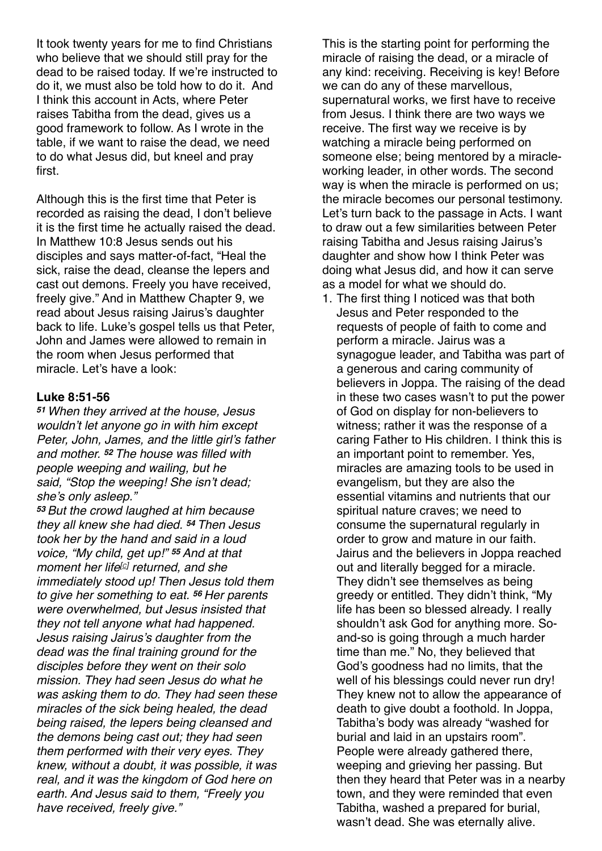It took twenty years for me to find Christians who believe that we should still pray for the dead to be raised today. If we're instructed to do it, we must also be told how to do it. And I think this account in Acts, where Peter raises Tabitha from the dead, gives us a good framework to follow. As I wrote in the table, if we want to raise the dead, we need to do what Jesus did, but kneel and pray first.

Although this is the first time that Peter is recorded as raising the dead, I don't believe it is the first time he actually raised the dead. In Matthew 10:8 Jesus sends out his disciples and says matter-of-fact, "Heal the sick, raise the dead, cleanse the lepers and cast out demons. Freely you have received, freely give." And in Matthew Chapter 9, we read about Jesus raising Jairus's daughter back to life. Luke's gospel tells us that Peter, John and James were allowed to remain in the room when Jesus performed that miracle. Let's have a look:

### **Luke 8:51-56**

*<sup>51</sup> When they arrived at the house, Jesus wouldn't let anyone go in with him except Peter, John, James, and the little girl's father and mother. <sup>52</sup> The house was filled with people weeping and wailing, but he said, "Stop the weeping! She isn't dead; she's only asleep."*

*<sup>53</sup> But the crowd laughed at him because they all knew she had died. <sup>54</sup> Then Jesus took her by the hand and said in a loud voice, "My child, get up!" <sup>55</sup> And at that moment her life[[c\]](https://www.biblegateway.com/passage/?search=Luke+8%253A40-56&version=NLT#fen-NLT-25269c) returned, and she immediately stood up! Then Jesus told them to give her something to eat. <sup>56</sup> Her parents were overwhelmed, but Jesus insisted that they not tell anyone what had happened. Jesus raising Jairus's daughter from the dead was the final training ground for the disciples before they went on their solo mission. They had seen Jesus do what he was asking them to do. They had seen these miracles of the sick being healed, the dead being raised, the lepers being cleansed and the demons being cast out; they had seen them performed with their very eyes. They knew, without a doubt, it was possible, it was real, and it was the kingdom of God here on earth. And Jesus said to them, "Freely you have received, freely give."*

This is the starting point for performing the miracle of raising the dead, or a miracle of any kind: receiving. Receiving is key! Before we can do any of these marvellous, supernatural works, we first have to receive from Jesus. I think there are two ways we receive. The first way we receive is by watching a miracle being performed on someone else; being mentored by a miracleworking leader, in other words. The second way is when the miracle is performed on us; the miracle becomes our personal testimony. Let's turn back to the passage in Acts. I want to draw out a few similarities between Peter raising Tabitha and Jesus raising Jairus's daughter and show how I think Peter was doing what Jesus did, and how it can serve as a model for what we should do.

1. The first thing I noticed was that both Jesus and Peter responded to the requests of people of faith to come and perform a miracle. Jairus was a synagogue leader, and Tabitha was part of a generous and caring community of believers in Joppa. The raising of the dead in these two cases wasn't to put the power of God on display for non-believers to witness; rather it was the response of a caring Father to His children. I think this is an important point to remember. Yes, miracles are amazing tools to be used in evangelism, but they are also the essential vitamins and nutrients that our spiritual nature craves; we need to consume the supernatural regularly in order to grow and mature in our faith. Jairus and the believers in Joppa reached out and literally begged for a miracle. They didn't see themselves as being greedy or entitled. They didn't think, "My life has been so blessed already. I really shouldn't ask God for anything more. Soand-so is going through a much harder time than me." No, they believed that God's goodness had no limits, that the well of his blessings could never run dry! They knew not to allow the appearance of death to give doubt a foothold. In Joppa, Tabitha's body was already "washed for burial and laid in an upstairs room". People were already gathered there, weeping and grieving her passing. But then they heard that Peter was in a nearby town, and they were reminded that even Tabitha, washed a prepared for burial, wasn't dead. She was eternally alive.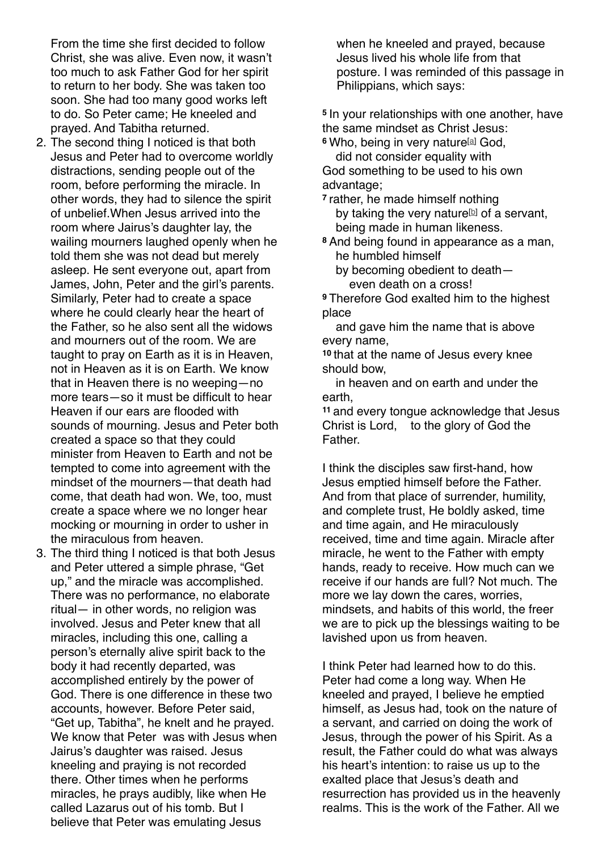From the time she first decided to follow Christ, she was alive. Even now, it wasn't too much to ask Father God for her spirit to return to her body. She was taken too soon. She had too many good works left to do. So Peter came; He kneeled and prayed. And Tabitha returned.

- 2. The second thing I noticed is that both Jesus and Peter had to overcome worldly distractions, sending people out of the room, before performing the miracle. In other words, they had to silence the spirit of unbelief.When Jesus arrived into the room where Jairus's daughter lay, the wailing mourners laughed openly when he told them she was not dead but merely asleep. He sent everyone out, apart from James, John, Peter and the girl's parents. Similarly, Peter had to create a space where he could clearly hear the heart of the Father, so he also sent all the widows and mourners out of the room. We are taught to pray on Earth as it is in Heaven, not in Heaven as it is on Earth. We know that in Heaven there is no weeping—no more tears—so it must be difficult to hear Heaven if our ears are flooded with sounds of mourning. Jesus and Peter both created a space so that they could minister from Heaven to Earth and not be tempted to come into agreement with the mindset of the mourners—that death had come, that death had won. We, too, must create a space where we no longer hear mocking or mourning in order to usher in the miraculous from heaven.
- 3. The third thing I noticed is that both Jesus and Peter uttered a simple phrase, "Get up," and the miracle was accomplished. There was no performance, no elaborate ritual— in other words, no religion was involved. Jesus and Peter knew that all miracles, including this one, calling a person's eternally alive spirit back to the body it had recently departed, was accomplished entirely by the power of God. There is one difference in these two accounts, however. Before Peter said, "Get up, Tabitha", he knelt and he prayed. We know that Peter was with Jesus when Jairus's daughter was raised. Jesus kneeling and praying is not recorded there. Other times when he performs miracles, he prays audibly, like when He called Lazarus out of his tomb. But I believe that Peter was emulating Jesus

when he kneeled and prayed, because Jesus lived his whole life from that posture. I was reminded of this passage in Philippians, which says:

**<sup>5</sup>** In your relationships with one another, have the same mindset as Christ Jesus:

**<sup>6</sup>** Who, being in very nature[[a\]](https://www.biblegateway.com/passage/?search=philippians%25202&version=NIV#fen-NIV-29398a) God, did not consider equality with

God something to be used to his own advantage;

**<sup>7</sup>** rather, he made himself nothing [b](https://www.biblegateway.com/passage/?search=philippians%25202&version=NIV#fen-NIV-29399b)y taking the very nature<sup>[b]</sup> of a servant, being made in human likeness.

**<sup>8</sup>** And being found in appearance as a man, he humbled himself

 by becoming obedient to death— even death on a cross!

**<sup>9</sup>** Therefore God exalted him to the highest place

 and gave him the name that is above every name,

**<sup>10</sup>** that at the name of Jesus every knee should bow,

 in heaven and on earth and under the earth,

**<sup>11</sup>** and every tongue acknowledge that Jesus Christ is Lord, to the glory of God the **Father** 

I think the disciples saw first-hand, how Jesus emptied himself before the Father. And from that place of surrender, humility, and complete trust, He boldly asked, time and time again, and He miraculously received, time and time again. Miracle after miracle, he went to the Father with empty hands, ready to receive. How much can we receive if our hands are full? Not much. The more we lay down the cares, worries, mindsets, and habits of this world, the freer we are to pick up the blessings waiting to be lavished upon us from heaven.

I think Peter had learned how to do this. Peter had come a long way. When He kneeled and prayed, I believe he emptied himself, as Jesus had, took on the nature of a servant, and carried on doing the work of Jesus, through the power of his Spirit. As a result, the Father could do what was always his heart's intention: to raise us up to the exalted place that Jesus's death and resurrection has provided us in the heavenly realms. This is the work of the Father. All we